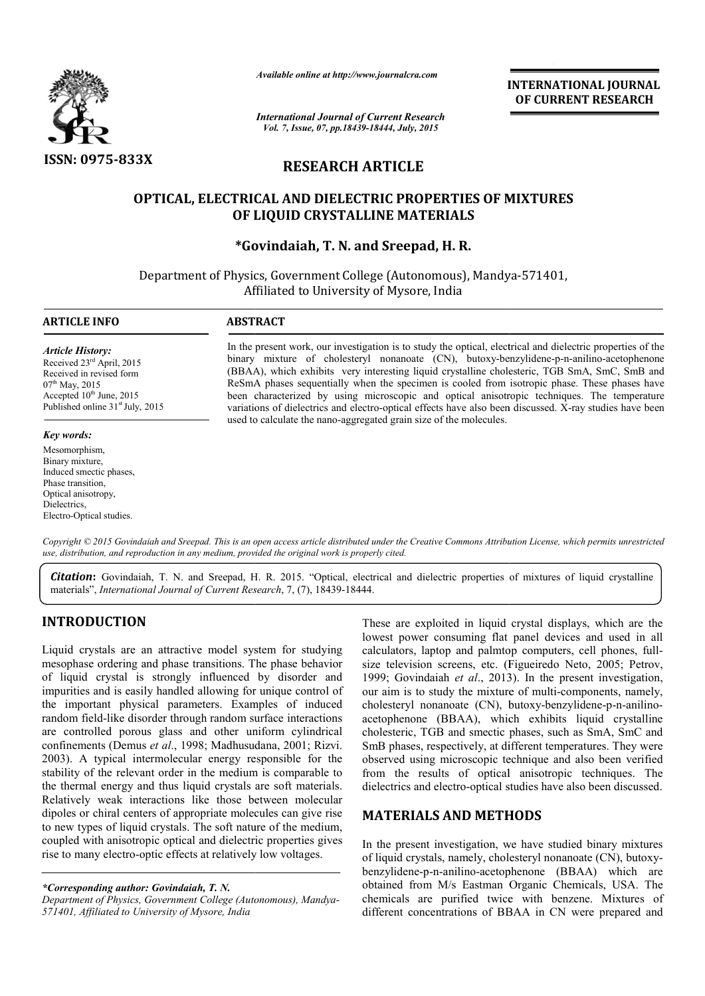

*Available online at http://www.journalcra.com*

*International Journal of Current Research Vol. 7, Issue, 07, pp.18439-18444, July, 2015*

**INTERNATIONAL INTERNATIONAL JOURNAL OF CURRENT RESEARCH** 

# **RESEARCH ARTICLE**

# **OPTICAL, ELECTRICAL AND DIELECTRIC PROPERTIES OF MIXTURES DIELECTRIC OF LIQUID CRYSTALLINE MATERIALS**

**\*Govindaiah, T. N. and Sreepad, H. R.**

Department of Physics, Government College (Autonomous), Mandya-571401, Affiliated to University of Mysore, India

1

## **ARTICLE INFO ABSTRACT**

*Article History:* Received 23rd April, 2015 Received in revised form  $07<sup>th</sup>$  May, 2015 Accepted  $10^{th}$  June, 2015 Published online  $31<sup>st</sup>$  July, 2015

## *Key words:*

Mesomorphism, Binary mixture, Induced smectic phases, Phase transition, Optical anisotropy, Dielectrics, Electro-Optical studies.

In the present work, our investigation is to study the optical, electrical and dielectric properties of the In the present work, our investigation is to study the optical, electrical and dielectric properties of the binary mixture of cholesteryl nonanoate (CN), butoxy-benzylidene-p-n-anilino-acetophenone (BBAA), which exhibits very interesting liquid crystalline cholesteric, TGB SmA, SmC, SmB and (BBAA), which exhibits very interesting liquid crystalline cholesteric, TGB SmA, SmC, SmB and ReSmA phases sequentially when the specimen is cooled from isotropic phase. These phases have been characterized by using microscopic and optical anisotropic techniques. The temperature been characterized by using microscopic and optical anisotropic techniques. The temperature variations of dielectrics and electro-optical effects have also been discussed. X-ray studies have been used to calculate the nano-aggregated grain size of the molecules.

Copyright © 2015 Govindaiah and Sreepad. This is an open access article distributed under the Creative Commons Attribution License, which permits unrestricted *use, distribution, and reproduction in any medium, provided the original work is properly cited.*

Citation: Govindaiah, T. N. and Sreepad, H. R. 2015. "Optical, electrical and dielectric properties of mixtures of liquid crystalline materials", *International Journal of Current Research* , 7, (7), 18439-18444.

# **INTRODUCTION**

Liquid crystals are an attractive model system for studying mesophase ordering and phase transitions. The phase behavior of liquid crystal is strongly influenced by disorder and impurities and is easily handled allowing for unique control of the important physical parameters. Examples of induced random field-like disorder through random surface interactions random field-like disorder through random surface interactions<br>are controlled porous glass and other uniform cylindrical confinements (Demus *et al*., 1998; Madhusudana, 2001; Rizvi. 2003). A typical intermolecular energy responsible for the stability of the relevant order in the medium is comparable to the thermal energy and thus liquid crystals are soft materials. Relatively weak interactions like those between molecular dipoles or chiral centers of appropriate molecules can give rise to new types of liquid crystals. The soft nature of the medium, coupled with anisotropic optical and dielectric properties gives rise to many electro-optic effects at relatively low voltages. ergy responsible for the<br>medium is comparable to<br>rrystals are soft materials.<br>hose between molecular<br>te molecules can give rise

*\*Corresponding author: Govindaiah, T. N. Department of Physics, Government College (Autonomous), Mandya Mandya-571401, Affiliated to University of Mysore, India*

These are exploited in liquid crystal displays, which are the lowest power consuming flat panel devices and used in all These are exploited in liquid crystal displays, which are the lowest power consuming flat panel devices and used in all calculators, laptop and palmtop computers, cell phones, fullsize television screens, etc. (Figueiredo Neto, 2005; Petrov, 1999; Govindaiah et al., 2013). In the present investigation, our aim is to study the mixture of multi-components, namely, cholesteryl nonanoate (CN), butoxy-benzylidene-p-n-anilinoacetophenone (BBAA), which exhibits liquid crystalline acetophenone (BBAA), which exhibits liquid crystalline cholesteric, TGB and smectic phases, such as SmA, SmC and SmB phases, respectively, at different temperatures. They were observed using microscopic technique and also been verified from the results of optical anisotropic techniques. dielectrics and electro-optical studies have also been discussed. SmB phases, respectively, at different temperatures. They were observed using microscopic technique and also been verified from the results of optical anisotropic techniques. The **INTERNATIONAL JOURNAL FORMATION CONTRATE CONSUMPLEMENTS INTO THE CONSUMPLEMENTS IS (5, 2015)<br>
LE COOPERTIES OF MIXTURES<br>
and A H. R.<br>
<b>COOPERTIES OF MIXTURES**<br>
pad A H. R.<br>
totoponous), Mandya-571401,<br>
corresponding the

## **MATERIALS AND METHODS METHODS**

In the present investigation, we have studied binary mixtures In the present investigation, we have studied binary mixtures<br>of liquid crystals, namely, cholesteryl nonanoate (CN), butoxybenzylidene-p-n-anilino-acetophenone (BBAA) which are benzylidene-p-n-anilino-acetophenone (BBAA) which are obtained from M/s Eastman Organic Chemicals, USA. The chemicals are purified twice with benzene. Mixtures of different concentrations of BBAA in CN were prepared and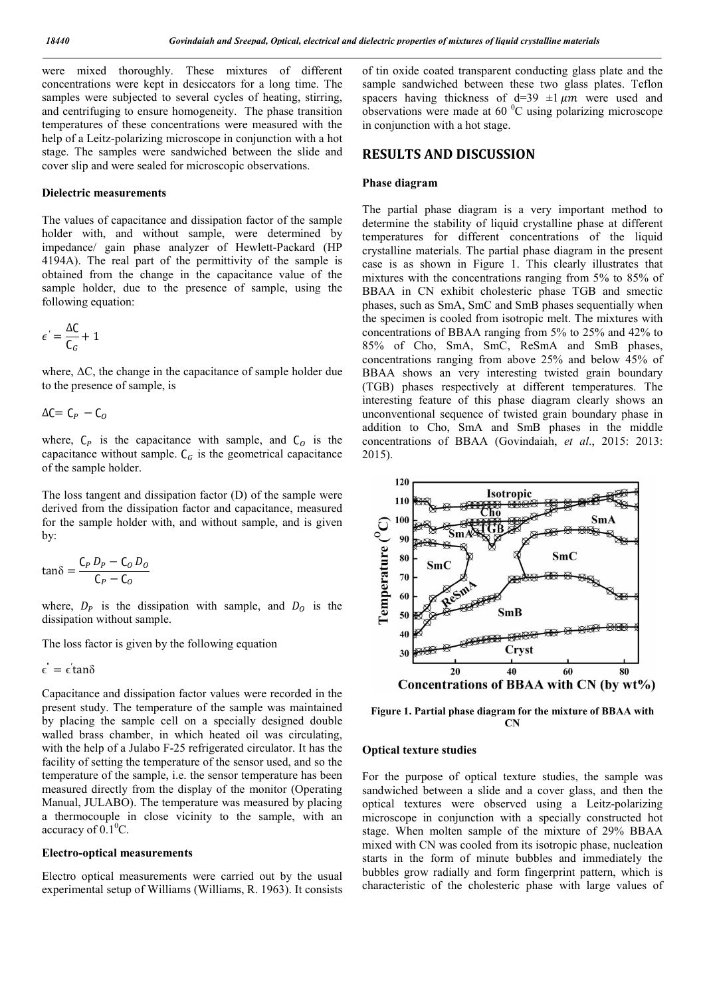were mixed thoroughly. These mixtures of different concentrations were kept in desiccators for a long time. The samples were subjected to several cycles of heating, stirring, and centrifuging to ensure homogeneity. The phase transition temperatures of these concentrations were measured with the help of a Leitz-polarizing microscope in conjunction with a hot stage. The samples were sandwiched between the slide and cover slip and were sealed for microscopic observations.

## **Dielectric measurements**

The values of capacitance and dissipation factor of the sample holder with, and without sample, were determined by impedance/ gain phase analyzer of Hewlett-Packard (HP 4194A). The real part of the permittivity of the sample is obtained from the change in the capacitance value of the sample holder, due to the presence of sample, using the following equation:

$$
\epsilon^{'} = \frac{\Delta C}{C_G} + 1
$$

where, ΔC, the change in the capacitance of sample holder due to the presence of sample, is

$$
\Delta C = C_P - C_O
$$

where,  $C_P$  is the capacitance with sample, and  $C_O$  is the capacitance without sample.  $C_G$  is the geometrical capacitance of the sample holder.

The loss tangent and dissipation factor (D) of the sample were derived from the dissipation factor and capacitance, measured for the sample holder with, and without sample, and is given by:

$$
\tan\delta = \frac{C_P D_P - C_O D_O}{C_P - C_O}
$$

where,  $D_p$  is the dissipation with sample, and  $D_q$  is the dissipation without sample.

The loss factor is given by the following equation

 $\epsilon^{''}=\epsilon^{'}$ tan $\delta$ 

Capacitance and dissipation factor values were recorded in the present study. The temperature of the sample was maintained by placing the sample cell on a specially designed double walled brass chamber, in which heated oil was circulating, with the help of a Julabo F-25 refrigerated circulator. It has the facility of setting the temperature of the sensor used, and so the temperature of the sample, i.e. the sensor temperature has been measured directly from the display of the monitor (Operating Manual, JULABO). The temperature was measured by placing a thermocouple in close vicinity to the sample, with an accuracy of  $0.1^{\circ}$ C.

## **Electro-optical measurements**

Electro optical measurements were carried out by the usual experimental setup of Williams (Williams, R. 1963). It consists of tin oxide coated transparent conducting glass plate and the sample sandwiched between these two glass plates. Teflon spacers having thickness of  $d=39 \pm 1 \mu m$  were used and observations were made at 60 $\degree$ C using polarizing microscope in conjunction with a hot stage.

## **RESULTS AND DISCUSSION**

## **Phase diagram**

The partial phase diagram is a very important method to determine the stability of liquid crystalline phase at different temperatures for different concentrations of the liquid crystalline materials. The partial phase diagram in the present case is as shown in Figure 1. This clearly illustrates that mixtures with the concentrations ranging from 5% to 85% of BBAA in CN exhibit cholesteric phase TGB and smectic phases, such as SmA, SmC and SmB phases sequentially when the specimen is cooled from isotropic melt. The mixtures with concentrations of BBAA ranging from 5% to 25% and 42% to 85% of Cho, SmA, SmC, ReSmA and SmB phases, concentrations ranging from above 25% and below 45% of BBAA shows an very interesting twisted grain boundary (TGB) phases respectively at different temperatures. The interesting feature of this phase diagram clearly shows an unconventional sequence of twisted grain boundary phase in addition to Cho, SmA and SmB phases in the middle concentrations of BBAA (Govindaiah, *et al*., 2015: 2013: 2015).



**Figure 1. Partial phase diagram for the mixture of BBAA with CN**

#### **Optical texture studies**

For the purpose of optical texture studies, the sample was sandwiched between a slide and a cover glass, and then the optical textures were observed using a Leitz-polarizing microscope in conjunction with a specially constructed hot stage. When molten sample of the mixture of 29% BBAA mixed with CN was cooled from its isotropic phase, nucleation starts in the form of minute bubbles and immediately the bubbles grow radially and form fingerprint pattern, which is characteristic of the cholesteric phase with large values of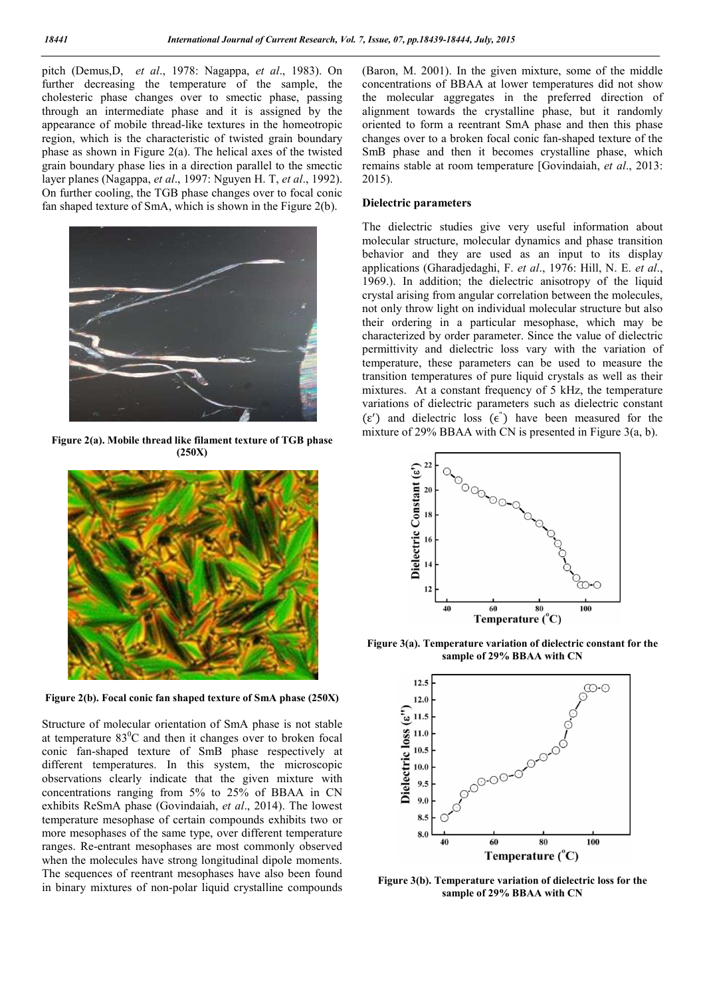pitch (Demus,D, *et al*., 1978: Nagappa, *et al*., 1983). On further decreasing the temperature of the sample, the cholesteric phase changes over to smectic phase, passing through an intermediate phase and it is assigned by the appearance of mobile thread-like textures in the homeotropic region, which is the characteristic of twisted grain boundary phase as shown in Figure 2(a). The helical axes of the twisted grain boundary phase lies in a direction parallel to the smectic layer planes (Nagappa, *et al*., 1997: Nguyen H. T, *et al*., 1992). On further cooling, the TGB phase changes over to focal conic fan shaped texture of SmA, which is shown in the Figure 2(b).



**Figure 2(a). Mobile thread like filament texture of TGB phase (250X)**



**Figure 2(b). Focal conic fan shaped texture of SmA phase (250X)**

Structure of molecular orientation of SmA phase is not stable at temperature  $83^{\circ}$ C and then it changes over to broken focal conic fan-shaped texture of SmB phase respectively at different temperatures. In this system, the microscopic observations clearly indicate that the given mixture with concentrations ranging from 5% to 25% of BBAA in CN exhibits ReSmA phase (Govindaiah, *et al*., 2014). The lowest temperature mesophase of certain compounds exhibits two or more mesophases of the same type, over different temperature ranges. Re-entrant mesophases are most commonly observed when the molecules have strong longitudinal dipole moments. The sequences of reentrant mesophases have also been found in binary mixtures of non-polar liquid crystalline compounds

(Baron, M. 2001). In the given mixture, some of the middle concentrations of BBAA at lower temperatures did not show the molecular aggregates in the preferred direction of alignment towards the crystalline phase, but it randomly oriented to form a reentrant SmA phase and then this phase changes over to a broken focal conic fan-shaped texture of the SmB phase and then it becomes crystalline phase, which remains stable at room temperature [Govindaiah, *et al*., 2013: 2015).

## **Dielectric parameters**

The dielectric studies give very useful information about molecular structure, molecular dynamics and phase transition behavior and they are used as an input to its display applications (Gharadjedaghi, F. *et al*., 1976: Hill, N. E. *et al*., 1969.). In addition; the dielectric anisotropy of the liquid crystal arising from angular correlation between the molecules, not only throw light on individual molecular structure but also their ordering in a particular mesophase, which may be characterized by order parameter. Since the value of dielectric permittivity and dielectric loss vary with the variation of temperature, these parameters can be used to measure the transition temperatures of pure liquid crystals as well as their mixtures. At a constant frequency of 5 kHz, the temperature variations of dielectric parameters such as dielectric constant (ε ) and dielectric loss (ϵ" ) have been measured for the mixture of 29% BBAA with CN is presented in Figure 3(a, b).



**Figure 3(a). Temperature variation of dielectric constant for the sample of 29% BBAA with CN**



**Figure 3(b). Temperature variation of dielectric loss for the sample of 29% BBAA with CN**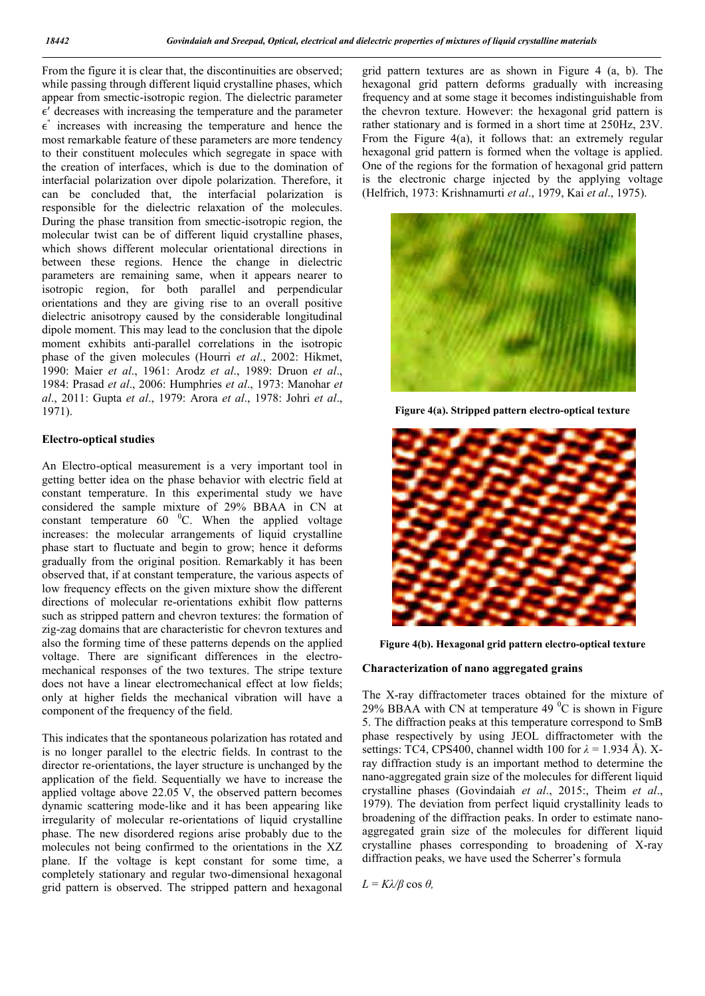From the figure it is clear that, the discontinuities are observed; while passing through different liquid crystalline phases, which appear from smectic-isotropic region. The dielectric parameter  $\epsilon'$  decreases with increasing the temperature and the parameter  $\epsilon$ " increases with increasing the temperature and hence the most remarkable feature of these parameters are more tendency to their constituent molecules which segregate in space with the creation of interfaces, which is due to the domination of interfacial polarization over dipole polarization. Therefore, it can be concluded that, the interfacial polarization is responsible for the dielectric relaxation of the molecules. During the phase transition from smectic-isotropic region, the molecular twist can be of different liquid crystalline phases, which shows different molecular orientational directions in between these regions. Hence the change in dielectric parameters are remaining same, when it appears nearer to isotropic region, for both parallel and perpendicular orientations and they are giving rise to an overall positive dielectric anisotropy caused by the considerable longitudinal dipole moment. This may lead to the conclusion that the dipole moment exhibits anti-parallel correlations in the isotropic phase of the given molecules (Hourri *et al*., 2002: Hikmet, 1990: Maier *et al*., 1961: Arodz *et al*., 1989: Druon *et al*., 1984: Prasad *et al*., 2006: Humphries *et al*., 1973: Manohar *et al*., 2011: Gupta *et al*., 1979: Arora *et al*., 1978: Johri *et al*., 1971).

## **Electro-optical studies**

An Electro-optical measurement is a very important tool in getting better idea on the phase behavior with electric field at constant temperature. In this experimental study we have considered the sample mixture of 29% BBAA in CN at constant temperature  $60<sup>o</sup>C$ . When the applied voltage increases: the molecular arrangements of liquid crystalline phase start to fluctuate and begin to grow; hence it deforms gradually from the original position. Remarkably it has been observed that, if at constant temperature, the various aspects of low frequency effects on the given mixture show the different directions of molecular re-orientations exhibit flow patterns such as stripped pattern and chevron textures: the formation of zig-zag domains that are characteristic for chevron textures and also the forming time of these patterns depends on the applied voltage. There are significant differences in the electromechanical responses of the two textures. The stripe texture does not have a linear electromechanical effect at low fields; only at higher fields the mechanical vibration will have a component of the frequency of the field.

This indicates that the spontaneous polarization has rotated and is no longer parallel to the electric fields. In contrast to the director re-orientations, the layer structure is unchanged by the application of the field. Sequentially we have to increase the applied voltage above 22.05 V, the observed pattern becomes dynamic scattering mode-like and it has been appearing like irregularity of molecular re-orientations of liquid crystalline phase. The new disordered regions arise probably due to the molecules not being confirmed to the orientations in the XZ plane. If the voltage is kept constant for some time, a completely stationary and regular two-dimensional hexagonal grid pattern is observed. The stripped pattern and hexagonal grid pattern textures are as shown in Figure 4 (a, b). The hexagonal grid pattern deforms gradually with increasing frequency and at some stage it becomes indistinguishable from the chevron texture. However: the hexagonal grid pattern is rather stationary and is formed in a short time at 250Hz, 23V. From the Figure 4(a), it follows that: an extremely regular hexagonal grid pattern is formed when the voltage is applied. One of the regions for the formation of hexagonal grid pattern is the electronic charge injected by the applying voltage (Helfrich, 1973: Krishnamurti *et al*., 1979, Kai *et al*., 1975).



**Figure 4(a). Stripped pattern electro-optical texture**



**Figure 4(b). Hexagonal grid pattern electro-optical texture**

## **Characterization of nano aggregated grains**

The X-ray diffractometer traces obtained for the mixture of 29% BBAA with CN at temperature 49 $\mathrm{^0C}$  is shown in Figure 5. The diffraction peaks at this temperature correspond to SmB phase respectively by using JEOL diffractometer with the settings: TC4, CPS400, channel width 100 for *λ* = 1.934 Å). Xray diffraction study is an important method to determine the nano-aggregated grain size of the molecules for different liquid crystalline phases (Govindaiah *et al*., 2015:, Theim *et al*., 1979). The deviation from perfect liquid crystallinity leads to broadening of the diffraction peaks. In order to estimate nanoaggregated grain size of the molecules for different liquid crystalline phases corresponding to broadening of X-ray diffraction peaks, we have used the Scherrer's formula

 $L = Kλ/β \cos θ$ ,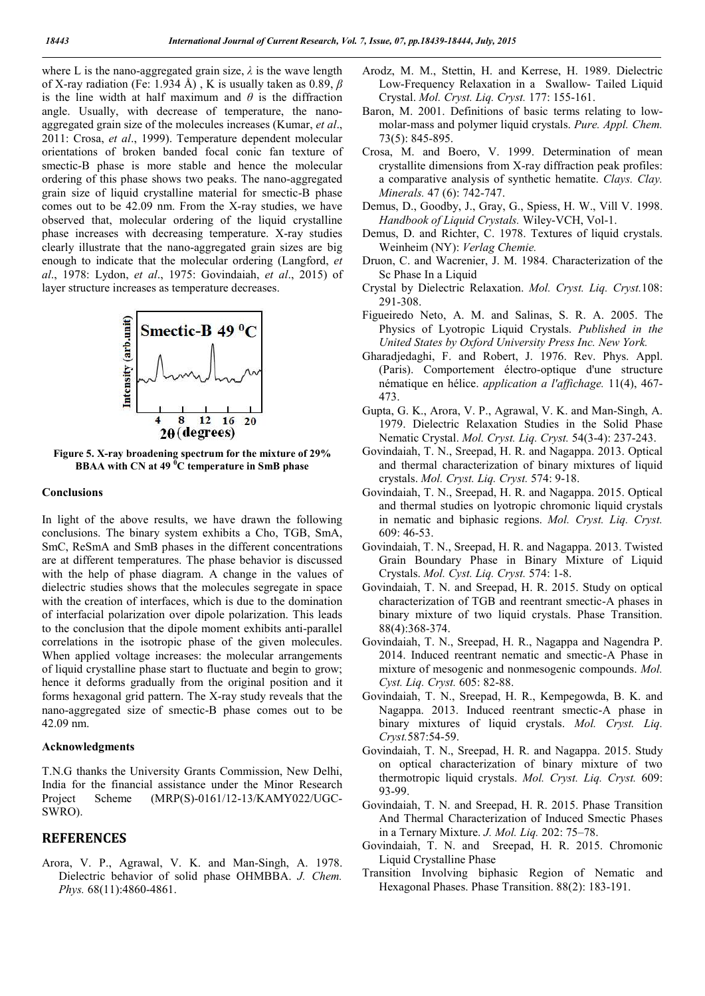where L is the nano-aggregated grain size, *λ* is the wave length of X-ray radiation (Fe: 1.934 Å) , K is usually taken as 0.89, *β*  is the line width at half maximum and  $\theta$  is the diffraction angle. Usually, with decrease of temperature, the nanoaggregated grain size of the molecules increases (Kumar, *et al*., 2011: Crosa, *et al*., 1999). Temperature dependent molecular orientations of broken banded focal conic fan texture of smectic-B phase is more stable and hence the molecular ordering of this phase shows two peaks. The nano-aggregated grain size of liquid crystalline material for smectic-B phase comes out to be 42.09 nm. From the X-ray studies, we have observed that, molecular ordering of the liquid crystalline phase increases with decreasing temperature. X-ray studies clearly illustrate that the nano-aggregated grain sizes are big enough to indicate that the molecular ordering (Langford, *et al*., 1978: Lydon, *et al*., 1975: Govindaiah, *et al*., 2015) of layer structure increases as temperature decreases.



**Figure 5. X-ray broadening spectrum for the mixture of 29% BBAA with CN at 49 <sup>0</sup> C temperature in SmB phase**

#### **Conclusions**

In light of the above results, we have drawn the following conclusions. The binary system exhibits a Cho, TGB, SmA, SmC, ReSmA and SmB phases in the different concentrations are at different temperatures. The phase behavior is discussed with the help of phase diagram. A change in the values of dielectric studies shows that the molecules segregate in space with the creation of interfaces, which is due to the domination of interfacial polarization over dipole polarization. This leads to the conclusion that the dipole moment exhibits anti-parallel correlations in the isotropic phase of the given molecules. When applied voltage increases: the molecular arrangements of liquid crystalline phase start to fluctuate and begin to grow; hence it deforms gradually from the original position and it forms hexagonal grid pattern. The X-ray study reveals that the nano-aggregated size of smectic-B phase comes out to be 42.09 nm.

## **Acknowledgments**

T.N.G thanks the University Grants Commission, New Delhi, India for the financial assistance under the Minor Research Project Scheme (MRP(S)-0161/12-13/KAMY022/UGC-SWRO).

## **REFERENCES**

Arora, V. P., Agrawal, V. K. and Man-Singh, A. 1978. Dielectric behavior of solid phase OHMBBA. *J. Chem. Phys.* 68(11):4860-4861.

- Arodz, M. M., Stettin, H. and Kerrese, H. 1989. Dielectric Low-Frequency Relaxation in a Swallow- Tailed Liquid Crystal. *Mol. Cryst. Liq. Cryst.* 177: 155-161.
- Baron, M. 2001. Definitions of basic terms relating to lowmolar-mass and polymer liquid crystals. *Pure. Appl. Chem.* 73(5): 845-895.
- Crosa, M. and Boero, V. 1999. Determination of mean crystallite dimensions from X-ray diffraction peak profiles: a comparative analysis of synthetic hematite. *Clays. Clay. Minerals.* 47 (6): 742-747.
- Demus, D., Goodby, J., Gray, G., Spiess, H. W., Vill V. 1998. *Handbook of Liquid Crystals.* Wiley-VCH, Vol-1.
- Demus, D. and Richter, C. 1978. Textures of liquid crystals. Weinheim (NY): *Verlag Chemie.*
- Druon, C. and Wacrenier, J. M. 1984. Characterization of the Sc Phase In a Liquid
- Crystal by Dielectric Relaxation. *Mol. Cryst. Liq. Cryst.*108: 291-308.
- Figueiredo Neto, A. M. and Salinas, S. R. A. 2005. The Physics of Lyotropic Liquid Crystals. *Published in the United States by Oxford University Press Inc. New York.*
- Gharadjedaghi, F. and Robert, J. 1976. Rev. Phys. Appl. (Paris). Comportement électro-optique d'une structure nématique en hélice. *application a l'affichage.* 11(4), 467- 473.
- Gupta, G. K., Arora, V. P., Agrawal, V. K. and Man-Singh, A. 1979. Dielectric Relaxation Studies in the Solid Phase Nematic Crystal. *Mol. Cryst. Liq. Cryst.* 54(3-4): 237-243.
- Govindaiah, T. N., Sreepad, H. R. and Nagappa. 2013. Optical and thermal characterization of binary mixtures of liquid crystals. *Mol. Cryst. Liq. Cryst.* 574: 9-18.
- Govindaiah, T. N., Sreepad, H. R. and Nagappa. 2015. Optical and thermal studies on lyotropic chromonic liquid crystals in nematic and biphasic regions. *Mol. Cryst. Liq. Cryst.* 609: 46-53.
- Govindaiah, T. N., Sreepad, H. R. and Nagappa. 2013. Twisted Grain Boundary Phase in Binary Mixture of Liquid Crystals. *Mol. Cyst. Liq. Cryst.* 574: 1-8.
- Govindaiah, T. N. and Sreepad, H. R. 2015. Study on optical characterization of TGB and reentrant smectic-A phases in binary mixture of two liquid crystals. Phase Transition. 88(4):368-374.
- Govindaiah, T. N., Sreepad, H. R., Nagappa and Nagendra P. 2014. Induced reentrant nematic and smectic-A Phase in mixture of mesogenic and nonmesogenic compounds. *Mol. Cyst. Liq. Cryst.* 605: 82-88.
- Govindaiah, T. N., Sreepad, H. R., Kempegowda, B. K. and Nagappa. 2013. Induced reentrant smectic-A phase in binary mixtures of liquid crystals. *Mol. Cryst. Liq. Cryst.*587:54-59.
- Govindaiah, T. N., Sreepad, H. R. and Nagappa. 2015. Study on optical characterization of binary mixture of two thermotropic liquid crystals. *Mol. Cryst. Liq. Cryst.* 609: 93-99.
- Govindaiah, T. N. and Sreepad, H. R. 2015. Phase Transition And Thermal Characterization of Induced Smectic Phases in a Ternary Mixture. *J. Mol. Liq.* 202: 75–78.
- Govindaiah, T. N. and Sreepad, H. R. 2015. Chromonic Liquid Crystalline Phase
- Transition Involving biphasic Region of Nematic and Hexagonal Phases. Phase Transition. 88(2): 183-191.